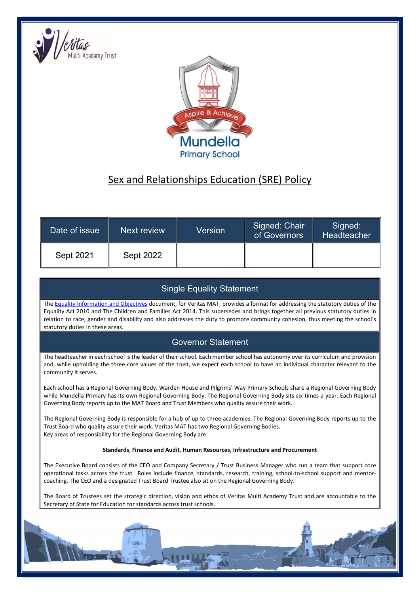



# Sex and Relationships Education (SRE) Policy

| Date of issue | Next review      | Version | Signed: Chair<br>of Governors | Signed:<br>Headteacher |
|---------------|------------------|---------|-------------------------------|------------------------|
| Sept 2021     | <b>Sept 2022</b> |         |                               |                        |

# Single Equality Statement

The Equality Information and Objectives document, for Veritas MAT, provides a format for addressing the statutory duties of the Equality Act 2010 and The Children and Families Act 2014. This supersedes and brings together all previous statutory duties in relation to race, gender and disability and also addresses the duty to promote community cohesion, thus meeting the school's statutory duties in these areas.

# Governor Statement

The headteacher in each school is the leader of their school. Each member school has autonomy over its curriculum and provision and, while upholding the three core values of the trust, we expect each school to have an individual character relevant to the community it serves.

Each school has a Regional Governing Body. Warden House and Pilgrims' Way Primary Schools share a Regional Governing Body while Mundella Primary has its own Regional Governing Body. The Regional Governing Body sits six times a year. Each Regional Governing Body reports up to the MAT Board and Trust Members who quality assure their work.

The Regional Governing Body is responsible for a hub of up to three academies. The Regional Governing Body reports up to the Trust Board who quality assure their work. Veritas MAT has two Regional Governing Bodies. Key areas of responsibility for the Regional Governing Body are:

#### Standards, Finance and Audit, Human Resources, Infrastructure and Procurement

The Executive Board consists of the CEO and Company Secretary / Trust Business Manager who run a team that support core operational tasks across the trust. Roles include finance, standards, research, training, school-to-school support and mentorcoaching. The CEO and a designated Trust Board Trustee also sit on the Regional Governing Body.

The Board of Trustees set the strategic direction, vision and ethos of Veritas Multi Academy Trust and are accountable to the Secretary of State for Education for standards across trust schools.

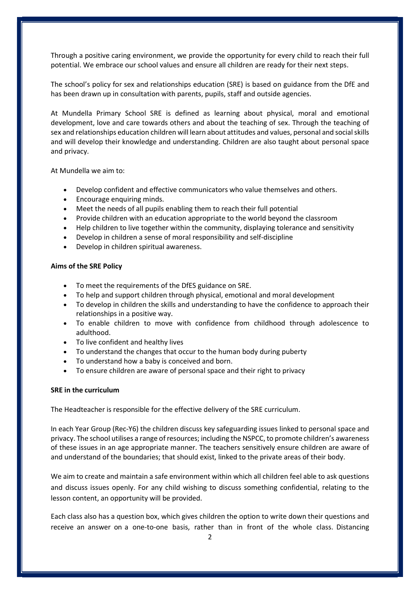Through a positive caring environment, we provide the opportunity for every child to reach their full potential. We embrace our school values and ensure all children are ready for their next steps.

The school's policy for sex and relationships education (SRE) is based on guidance from the DfE and has been drawn up in consultation with parents, pupils, staff and outside agencies.

At Mundella Primary School SRE is defined as learning about physical, moral and emotional development, love and care towards others and about the teaching of sex. Through the teaching of sex and relationships education children will learn about attitudes and values, personal and social skills and will develop their knowledge and understanding. Children are also taught about personal space and privacy.

At Mundella we aim to:

- Develop confident and effective communicators who value themselves and others.
- Encourage enquiring minds.
- Meet the needs of all pupils enabling them to reach their full potential
- Provide children with an education appropriate to the world beyond the classroom
- Help children to live together within the community, displaying tolerance and sensitivity
- Develop in children a sense of moral responsibility and self-discipline
- Develop in children spiritual awareness.

#### Aims of the SRE Policy

- To meet the requirements of the DfES guidance on SRE.
- To help and support children through physical, emotional and moral development
- To develop in children the skills and understanding to have the confidence to approach their relationships in a positive way.
- To enable children to move with confidence from childhood through adolescence to adulthood.
- To live confident and healthy lives
- To understand the changes that occur to the human body during puberty
- To understand how a baby is conceived and born.
- To ensure children are aware of personal space and their right to privacy

#### SRE in the curriculum

The Headteacher is responsible for the effective delivery of the SRE curriculum.

In each Year Group (Rec-Y6) the children discuss key safeguarding issues linked to personal space and privacy. The school utilises a range of resources; including the NSPCC, to promote children's awareness of these issues in an age appropriate manner. The teachers sensitively ensure children are aware of and understand of the boundaries; that should exist, linked to the private areas of their body.

We aim to create and maintain a safe environment within which all children feel able to ask questions and discuss issues openly. For any child wishing to discuss something confidential, relating to the lesson content, an opportunity will be provided.

Each class also has a question box, which gives children the option to write down their questions and receive an answer on a one-to-one basis, rather than in front of the whole class. Distancing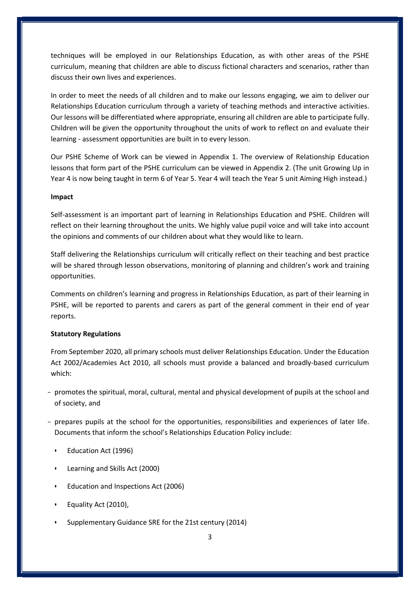techniques will be employed in our Relationships Education, as with other areas of the PSHE curriculum, meaning that children are able to discuss fictional characters and scenarios, rather than discuss their own lives and experiences.

In order to meet the needs of all children and to make our lessons engaging, we aim to deliver our Relationships Education curriculum through a variety of teaching methods and interactive activities. Our lessons will be differentiated where appropriate, ensuring all children are able to participate fully. Children will be given the opportunity throughout the units of work to reflect on and evaluate their learning - assessment opportunities are built in to every lesson.

Our PSHE Scheme of Work can be viewed in Appendix 1. The overview of Relationship Education lessons that form part of the PSHE curriculum can be viewed in Appendix 2. (The unit Growing Up in Year 4 is now being taught in term 6 of Year 5. Year 4 will teach the Year 5 unit Aiming High instead.)

#### Impact

Self-assessment is an important part of learning in Relationships Education and PSHE. Children will reflect on their learning throughout the units. We highly value pupil voice and will take into account the opinions and comments of our children about what they would like to learn.

Staff delivering the Relationships curriculum will critically reflect on their teaching and best practice will be shared through lesson observations, monitoring of planning and children's work and training opportunities.

Comments on children's learning and progress in Relationships Education, as part of their learning in PSHE, will be reported to parents and carers as part of the general comment in their end of year reports.

#### Statutory Regulations

From September 2020, all primary schools must deliver Relationships Education. Under the Education Act 2002/Academies Act 2010, all schools must provide a balanced and broadly-based curriculum which:

- promotes the spiritual, moral, cultural, mental and physical development of pupils at the school and of society, and
- prepares pupils at the school for the opportunities, responsibilities and experiences of later life. Documents that inform the school's Relationships Education Policy include:
	- Education Act (1996)
	- Learning and Skills Act (2000)
	- Education and Inspections Act (2006)
	- Equality Act (2010),
	- Supplementary Guidance SRE for the 21st century (2014)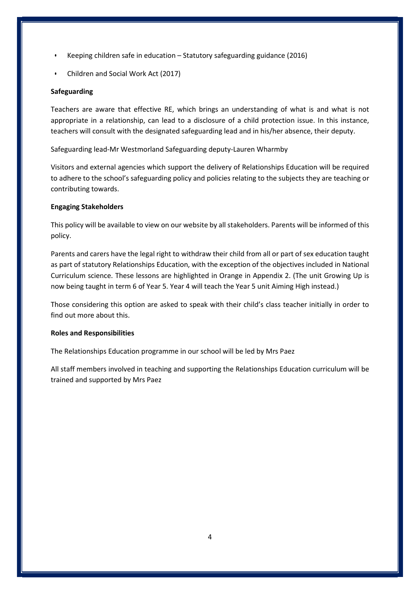- Keeping children safe in education Statutory safeguarding guidance (2016)
- Children and Social Work Act (2017)

### Safeguarding

Teachers are aware that effective RE, which brings an understanding of what is and what is not appropriate in a relationship, can lead to a disclosure of a child protection issue. In this instance, teachers will consult with the designated safeguarding lead and in his/her absence, their deputy.

Safeguarding lead-Mr Westmorland Safeguarding deputy-Lauren Wharmby

Visitors and external agencies which support the delivery of Relationships Education will be required to adhere to the school's safeguarding policy and policies relating to the subjects they are teaching or contributing towards.

### Engaging Stakeholders

This policy will be available to view on our website by all stakeholders. Parents will be informed of this policy.

Parents and carers have the legal right to withdraw their child from all or part of sex education taught as part of statutory Relationships Education, with the exception of the objectives included in National Curriculum science. These lessons are highlighted in Orange in Appendix 2. (The unit Growing Up is now being taught in term 6 of Year 5. Year 4 will teach the Year 5 unit Aiming High instead.)

Those considering this option are asked to speak with their child's class teacher initially in order to find out more about this.

### Roles and Responsibilities

The Relationships Education programme in our school will be led by Mrs Paez

All staff members involved in teaching and supporting the Relationships Education curriculum will be trained and supported by Mrs Paez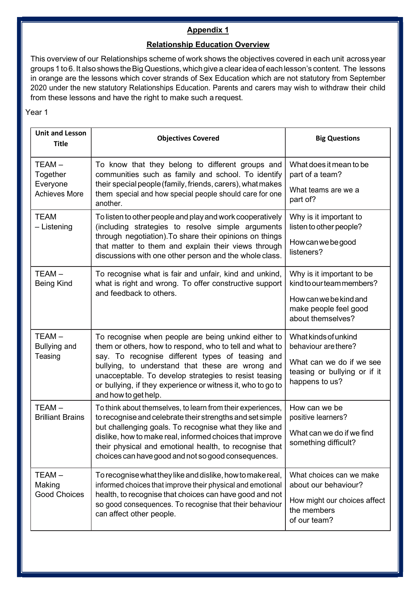## Appendix 1

### Relationship Education Overview

This overview of our Relationships scheme of work shows the objectives covered in each unit across year groups 1 to 6. It also shows the Big Questions, which give a clear idea of each lesson's content. The lessons in orange are the lessons which cover strands of Sex Education which are not statutory from September 2020 under the new statutory Relationships Education. Parents and carers may wish to withdraw their child from these lessons and have the right to make such a request.

| <b>Unit and Lesson</b><br><b>Title</b>                | <b>Objectives Covered</b>                                                                                                                                                                                                                                                                                                                                              | <b>Big Questions</b>                                                                                                           |
|-------------------------------------------------------|------------------------------------------------------------------------------------------------------------------------------------------------------------------------------------------------------------------------------------------------------------------------------------------------------------------------------------------------------------------------|--------------------------------------------------------------------------------------------------------------------------------|
| TEAM-<br>Together<br>Everyone<br><b>Achieves More</b> | To know that they belong to different groups and<br>communities such as family and school. To identify<br>their special people (family, friends, carers), what makes<br>them special and how special people should care for one<br>another.                                                                                                                            | What does it mean to be<br>part of a team?<br>What teams are we a<br>part of?                                                  |
| <b>TEAM</b><br>- Listening                            | To listen to other people and play and work cooperatively<br>(including strategies to resolve simple arguments<br>through negotiation). To share their opinions on things<br>that matter to them and explain their views through<br>discussions with one other person and the whole class.                                                                             | Why is it important to<br>listen to other people?<br>Howcanwebegood<br>listeners?                                              |
| $TEAM -$<br><b>Being Kind</b>                         | To recognise what is fair and unfair, kind and unkind,<br>what is right and wrong. To offer constructive support<br>and feedback to others.                                                                                                                                                                                                                            | Why is it important to be<br>kind to our team members?<br>How can we be kind and<br>make people feel good<br>about themselves? |
| $TEAM -$<br><b>Bullying and</b><br>Teasing            | To recognise when people are being unkind either to<br>them or others, how to respond, who to tell and what to<br>say. To recognise different types of teasing and<br>bullying, to understand that these are wrong and<br>unacceptable. To develop strategies to resist teasing<br>or bullying, if they experience or witness it, who to go to<br>and how to get help. | What kinds of unkind<br>behaviour are there?<br>What can we do if we see<br>teasing or bullying or if it<br>happens to us?     |
| $TEAM -$<br><b>Brilliant Brains</b>                   | To think about themselves, to learn from their experiences,<br>to recognise and celebrate their strengths and set simple<br>but challenging goals. To recognise what they like and<br>dislike, how to make real, informed choices that improve<br>their physical and emotional health, to recognise that<br>choices can have good and not so good consequences.        | How can we be<br>positive learners?<br>What can we do if we find<br>something difficult?                                       |
| $TEAM -$<br>Making<br><b>Good Choices</b>             | To recognise what they like and dislike, how to make real,<br>informed choices that improve their physical and emotional<br>health, to recognise that choices can have good and not<br>so good consequences. To recognise that their behaviour<br>can affect other people.                                                                                             | What choices can we make<br>about our behaviour?<br>How might our choices affect<br>the members<br>of our team?                |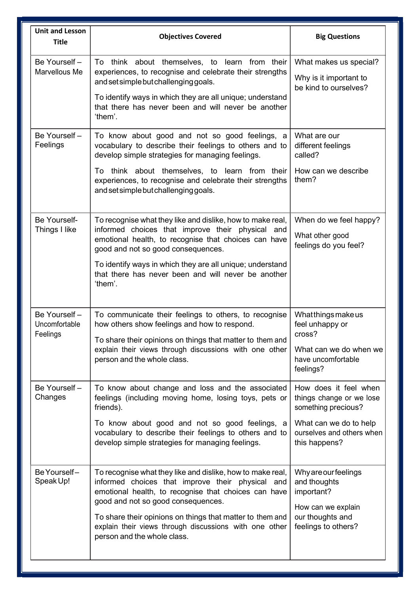| <b>Unit and Lesson</b><br><b>Title</b>    | <b>Objectives Covered</b>                                                                                                                                                                                                                                                                                                                                          | <b>Big Questions</b>                                                                                                                             |
|-------------------------------------------|--------------------------------------------------------------------------------------------------------------------------------------------------------------------------------------------------------------------------------------------------------------------------------------------------------------------------------------------------------------------|--------------------------------------------------------------------------------------------------------------------------------------------------|
| Be Yourself-<br>Marvellous Me             | To think about themselves, to learn from their<br>experiences, to recognise and celebrate their strengths<br>and set simple but challenging goals.<br>To identify ways in which they are all unique; understand<br>that there has never been and will never be another<br>'them'.                                                                                  | What makes us special?<br>Why is it important to<br>be kind to ourselves?                                                                        |
| Be Yourself-<br>Feelings                  | To know about good and not so good feelings, a<br>vocabulary to describe their feelings to others and to<br>develop simple strategies for managing feelings.<br>To think about themselves, to learn from their<br>experiences, to recognise and celebrate their strengths<br>and set simple but challenging goals.                                                 | What are our<br>different feelings<br>called?<br>How can we describe<br>them?                                                                    |
| Be Yourself-<br>Things I like             | To recognise what they like and dislike, how to make real,<br>informed choices that improve their physical and<br>emotional health, to recognise that choices can have<br>good and not so good consequences.<br>To identify ways in which they are all unique; understand<br>that there has never been and will never be another<br>'them'.                        | When do we feel happy?<br>What other good<br>feelings do you feel?                                                                               |
| Be Yourself-<br>Uncomfortable<br>Feelings | To communicate their feelings to others, to recognise<br>how others show feelings and how to respond.<br>To share their opinions on things that matter to them and<br>explain their views through discussions with one other<br>person and the whole class.                                                                                                        | Whatthingsmakeus<br>feel unhappy or<br>cross?<br>What can we do when we<br>have uncomfortable<br>feelings?                                       |
| Be Yourself-<br>Changes                   | To know about change and loss and the associated<br>feelings (including moving home, losing toys, pets or<br>friends).<br>To know about good and not so good feelings, a<br>vocabulary to describe their feelings to others and to<br>develop simple strategies for managing feelings.                                                                             | How does it feel when<br>things change or we lose<br>something precious?<br>What can we do to help<br>ourselves and others when<br>this happens? |
| Be Yourself-<br>Speak Up!                 | To recognise what they like and dislike, how to make real,<br>informed choices that improve their physical and<br>emotional health, to recognise that choices can have<br>good and not so good consequences.<br>To share their opinions on things that matter to them and<br>explain their views through discussions with one other<br>person and the whole class. | Why are our feelings<br>and thoughts<br>important?<br>How can we explain<br>our thoughts and<br>feelings to others?                              |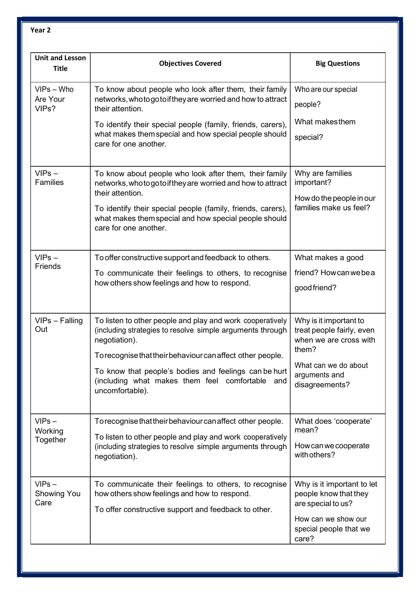| <b>Unit and Lesson</b><br><b>Title</b> | <b>Objectives Covered</b>                                                                                                                                                                                                                                                                                                            | <b>Big Questions</b>                                                                                                                              |
|----------------------------------------|--------------------------------------------------------------------------------------------------------------------------------------------------------------------------------------------------------------------------------------------------------------------------------------------------------------------------------------|---------------------------------------------------------------------------------------------------------------------------------------------------|
| $VIPS - Who$<br>Are Your<br>VIPs?      | To know about people who look after them, their family<br>networks, who to go to if they are worried and how to attract<br>their attention.<br>To identify their special people (family, friends, carers),<br>what makes them special and how special people should<br>care for one another.                                         | Who are our special<br>people?<br>What makesthem<br>special?                                                                                      |
| $VIPS -$<br><b>Families</b>            | To know about people who look after them, their family<br>networks, who to go to if they are worried and how to attract<br>their attention.<br>To identify their special people (family, friends, carers),<br>what makes them special and how special people should<br>care for one another.                                         | Why are families<br>important?<br>How do the people in our<br>families make us feel?                                                              |
| $VIPS -$<br>Friends                    | To offer constructive support and feedback to others.<br>To communicate their feelings to others, to recognise<br>how others show feelings and how to respond.                                                                                                                                                                       | What makes a good<br>friend? How can we be a<br>good friend?                                                                                      |
| VIPs - Falling<br>Out                  | To listen to other people and play and work cooperatively<br>(including strategies to resolve simple arguments through<br>negotiation).<br>To recognise that their behaviour can affect other people.<br>To know that people's bodies and feelings can be hurt<br>(including what makes them feel comfortable and<br>uncomfortable). | Why is it important to<br>treat people fairly, even<br>when we are cross with<br>them?<br>What can we do about<br>arguments and<br>disagreements? |
| $VIPS -$<br>Working<br>Together        | To recognise that their behaviour can affect other people.<br>To listen to other people and play and work cooperatively<br>(including strategies to resolve simple arguments through<br>negotiation).                                                                                                                                | What does 'cooperate'<br>mean?<br>Howcanwecooperate<br>with others?                                                                               |
| $VIPS -$<br>Showing You<br>Care        | To communicate their feelings to others, to recognise<br>how others show feelings and how to respond.<br>To offer constructive support and feedback to other.                                                                                                                                                                        | Why is it important to let<br>people know that they<br>are special to us?<br>How can we show our<br>special people that we<br>care?               |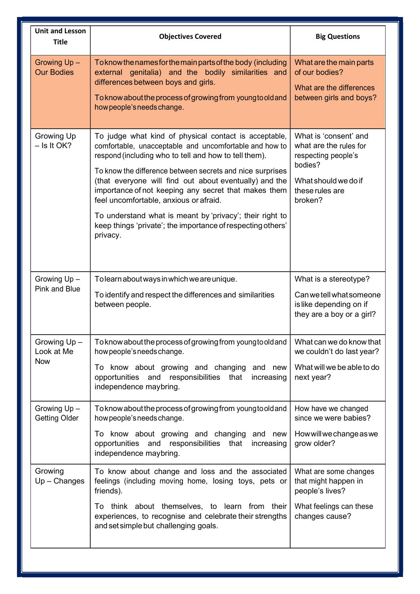| <b>Unit and Lesson</b><br><b>Title</b>  | <b>Objectives Covered</b>                                                                                                                                                                                                                                                                                                                                                                                                                                                                                                                | <b>Big Questions</b>                                                                                                                    |
|-----------------------------------------|------------------------------------------------------------------------------------------------------------------------------------------------------------------------------------------------------------------------------------------------------------------------------------------------------------------------------------------------------------------------------------------------------------------------------------------------------------------------------------------------------------------------------------------|-----------------------------------------------------------------------------------------------------------------------------------------|
| Growing Up -<br><b>Our Bodies</b>       | To know the names for the main parts of the body (including<br>external genitalia) and the bodily similarities and<br>differences between boys and girls.<br>To know about the process of growing from young to old and<br>how people's needs change.                                                                                                                                                                                                                                                                                    | What are the main parts<br>of our bodies?<br>What are the differences<br>between girls and boys?                                        |
| Growing Up<br>$-$ Is It OK?             | To judge what kind of physical contact is acceptable,<br>comfortable, unacceptable and uncomfortable and how to<br>respond (including who to tell and how to tell them).<br>To know the difference between secrets and nice surprises<br>(that everyone will find out about eventually) and the<br>importance of not keeping any secret that makes them<br>feel uncomfortable, anxious or afraid.<br>To understand what is meant by 'privacy'; their right to<br>keep things 'private'; the importance of respecting others'<br>privacy. | What is 'consent' and<br>what are the rules for<br>respecting people's<br>bodies?<br>What should we do if<br>these rules are<br>broken? |
| Growing Up-<br>Pink and Blue            | To learn about ways in which we are unique.<br>To identify and respect the differences and similarities<br>between people.                                                                                                                                                                                                                                                                                                                                                                                                               | What is a stereotype?<br>Can we tell what someone<br>is like depending on if<br>they are a boy or a girl?                               |
| Growing Up-<br>Look at Me<br><b>Now</b> | To know about the process of growing from young to old and<br>how people's needs change.<br>To know about growing and changing and new<br>opportunities and responsibilities that increasing<br>independence maybring.                                                                                                                                                                                                                                                                                                                   | What can we do know that<br>we couldn't do last year?<br>What will we be able to do<br>next year?                                       |
| Growing Up-<br><b>Getting Older</b>     | To know about the process of growing from young to old and<br>how people's needs change.<br>To know about growing and changing and new<br>opportunities and responsibilities that<br>increasing<br>independence maybring.                                                                                                                                                                                                                                                                                                                | How have we changed<br>since we were babies?<br>How will we change as we<br>grow older?                                                 |
| Growing<br>$Up - Changes$               | To know about change and loss and the associated<br>feelings (including moving home, losing toys, pets or<br>friends).<br>To think about themselves, to learn from their<br>experiences, to recognise and celebrate their strengths<br>and set simple but challenging goals.                                                                                                                                                                                                                                                             | What are some changes<br>that might happen in<br>people's lives?<br>What feelings can these<br>changes cause?                           |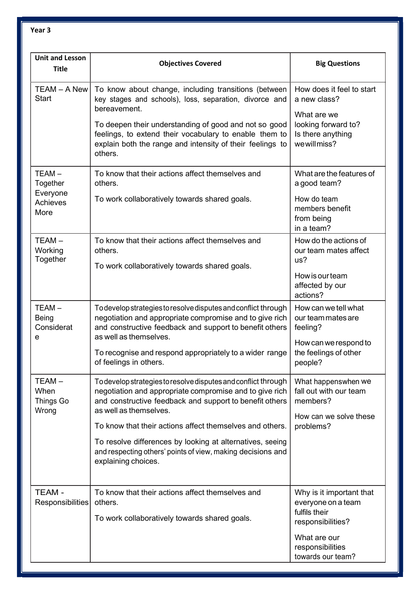| <b>Unit and Lesson</b><br><b>Title</b>            | <b>Objectives Covered</b>                                                                                                                                                                                                                                                                                                                                                                                                     | <b>Big Questions</b>                                                                                                                          |
|---------------------------------------------------|-------------------------------------------------------------------------------------------------------------------------------------------------------------------------------------------------------------------------------------------------------------------------------------------------------------------------------------------------------------------------------------------------------------------------------|-----------------------------------------------------------------------------------------------------------------------------------------------|
| TEAM - A New<br><b>Start</b>                      | To know about change, including transitions (between<br>key stages and schools), loss, separation, divorce and<br>bereavement.<br>To deepen their understanding of good and not so good<br>feelings, to extend their vocabulary to enable them to<br>explain both the range and intensity of their feelings to<br>others.                                                                                                     | How does it feel to start<br>a new class?<br>What are we<br>looking forward to?<br>Is there anything<br>we will miss?                         |
| TEAM-<br>Together<br>Everyone<br>Achieves<br>More | To know that their actions affect themselves and<br>others.<br>To work collaboratively towards shared goals.                                                                                                                                                                                                                                                                                                                  | What are the features of<br>a good team?<br>How do team<br>members benefit<br>from being<br>in a team?                                        |
| $TEAM -$<br>Working<br>Together                   | To know that their actions affect themselves and<br>others.<br>To work collaboratively towards shared goals.                                                                                                                                                                                                                                                                                                                  | How do the actions of<br>our team mates affect<br>us?<br>How is our team<br>affected by our<br>actions?                                       |
| $TEAM -$<br><b>Being</b><br>Considerat<br>е       | To develop strategies to resolve disputes and conflict through<br>negotiation and appropriate compromise and to give rich<br>and constructive feedback and support to benefit others<br>as well as themselves.<br>To recognise and respond appropriately to a wider range<br>of feelings in others.                                                                                                                           | How can we tell what<br>our team mates are<br>feeling?<br>How can we respond to<br>the feelings of other<br>people?                           |
| TEAM-<br>When<br>Things Go<br>Wrong               | To develop strategies to resolve disputes and conflict through<br>negotiation and appropriate compromise and to give rich<br>and constructive feedback and support to benefit others<br>as well as themselves.<br>To know that their actions affect themselves and others.<br>To resolve differences by looking at alternatives, seeing<br>and respecting others' points of view, making decisions and<br>explaining choices. | What happenswhen we<br>fall out with our team<br>members?<br>How can we solve these<br>problems?                                              |
| TEAM-<br>Responsibilities                         | To know that their actions affect themselves and<br>others.<br>To work collaboratively towards shared goals.                                                                                                                                                                                                                                                                                                                  | Why is it important that<br>everyone on a team<br>fulfils their<br>responsibilities?<br>What are our<br>responsibilities<br>towards our team? |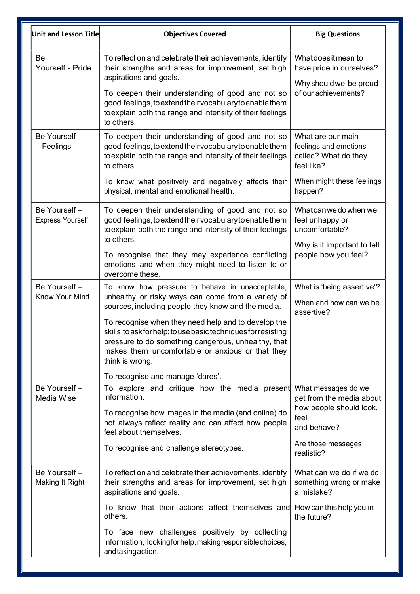| Unit and Lesson Title                   | <b>Objectives Covered</b>                                                                                                                                                                                                                                                                                                                                                                                                                             | <b>Big Questions</b>                                                                                                                  |
|-----------------------------------------|-------------------------------------------------------------------------------------------------------------------------------------------------------------------------------------------------------------------------------------------------------------------------------------------------------------------------------------------------------------------------------------------------------------------------------------------------------|---------------------------------------------------------------------------------------------------------------------------------------|
| Be<br>Yourself - Pride                  | To reflect on and celebrate their achievements, identify<br>their strengths and areas for improvement, set high<br>aspirations and goals.<br>To deepen their understanding of good and not so<br>good feelings, to extend their vocabulary to enable them<br>to explain both the range and intensity of their feelings<br>to others.                                                                                                                  | What does it mean to<br>have pride in ourselves?<br>Why should we be proud<br>of our achievements?                                    |
| <b>Be Yourself</b><br>- Feelings        | To deepen their understanding of good and not so<br>good feelings, to extend their vocabulary to enable them<br>to explain both the range and intensity of their feelings<br>to others.<br>To know what positively and negatively affects their<br>physical, mental and emotional health.                                                                                                                                                             | What are our main<br>feelings and emotions<br>called? What do they<br>feel like?<br>When might these feelings<br>happen?              |
| Be Yourself-<br><b>Express Yourself</b> | To deepen their understanding of good and not so<br>good feelings, to extend their vocabulary to enable them<br>to explain both the range and intensity of their feelings<br>to others.<br>To recognise that they may experience conflicting<br>emotions and when they might need to listen to or<br>overcome these.                                                                                                                                  | What can we do when we<br>feel unhappy or<br>uncomfortable?<br>Why is it important to tell<br>people how you feel?                    |
| Be Yourself -<br>Know Your Mind         | To know how pressure to behave in unacceptable,<br>unhealthy or risky ways can come from a variety of<br>sources, including people they know and the media.<br>To recognise when they need help and to develop the<br>skills to ask for help; to use basic techniques for resisting<br>pressure to do something dangerous, unhealthy, that<br>makes them uncomfortable or anxious or that they<br>think is wrong.<br>To recognise and manage 'dares'. | What is 'being assertive'?<br>When and how can we be<br>assertive?                                                                    |
| Be Yourself -<br>Media Wise             | To explore and critique how the media present<br>information.<br>To recognise how images in the media (and online) do<br>not always reflect reality and can affect how people<br>feel about themselves.<br>To recognise and challenge stereotypes.                                                                                                                                                                                                    | What messages do we<br>get from the media about<br>how people should look,<br>feel<br>and behave?<br>Are those messages<br>realistic? |
| Be Yourself-<br>Making It Right         | To reflect on and celebrate their achievements, identify<br>their strengths and areas for improvement, set high<br>aspirations and goals.<br>To know that their actions affect themselves and<br>others.<br>To face new challenges positively by collecting<br>information, looking for help, making responsible choices,<br>and taking action.                                                                                                       | What can we do if we do<br>something wrong or make<br>a mistake?<br>How can this help you in<br>the future?                           |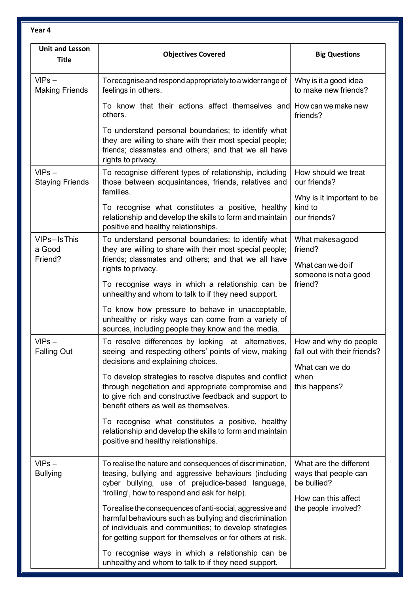| <b>Unit and Lesson</b><br><b>Title</b> | <b>Objectives Covered</b>                                                                                                                                                                                                                  | <b>Big Questions</b>                                                                 |
|----------------------------------------|--------------------------------------------------------------------------------------------------------------------------------------------------------------------------------------------------------------------------------------------|--------------------------------------------------------------------------------------|
| $VIPS -$<br><b>Making Friends</b>      | To recognise and respond appropriately to a wider range of<br>feelings in others.                                                                                                                                                          | Why is it a good idea<br>to make new friends?                                        |
|                                        | To know that their actions affect themselves and How can we make new<br>others.                                                                                                                                                            | friends?                                                                             |
|                                        | To understand personal boundaries; to identify what<br>they are willing to share with their most special people;<br>friends; classmates and others; and that we all have<br>rights to privacy.                                             |                                                                                      |
| $VIPS -$<br><b>Staying Friends</b>     | To recognise different types of relationship, including<br>those between acquaintances, friends, relatives and<br>families.                                                                                                                | How should we treat<br>our friends?                                                  |
|                                        | To recognise what constitutes a positive, healthy<br>relationship and develop the skills to form and maintain<br>positive and healthy relationships.                                                                                       | Why is it important to be<br>kind to<br>our friends?                                 |
| VIPs-Is This<br>a Good<br>Friend?      | To understand personal boundaries; to identify what<br>they are willing to share with their most special people;<br>friends; classmates and others; and that we all have                                                                   | What makesa good<br>friend?<br>What can we do if                                     |
|                                        | rights to privacy.<br>To recognise ways in which a relationship can be<br>unhealthy and whom to talk to if they need support.                                                                                                              | someone is not a good<br>friend?                                                     |
|                                        | To know how pressure to behave in unacceptable,<br>unhealthy or risky ways can come from a variety of<br>sources, including people they know and the media.                                                                                |                                                                                      |
| $VIPS -$<br><b>Falling Out</b>         | To resolve differences by looking at alternatives,<br>seeing and respecting others' points of view, making<br>decisions and explaining choices.                                                                                            | How and why do people<br>fall out with their friends?<br>What can we do              |
|                                        | To develop strategies to resolve disputes and conflict<br>through negotiation and appropriate compromise and<br>to give rich and constructive feedback and support to<br>benefit others as well as themselves.                             | when<br>this happens?                                                                |
|                                        | To recognise what constitutes a positive, healthy<br>relationship and develop the skills to form and maintain<br>positive and healthy relationships.                                                                                       |                                                                                      |
| $VIPS -$<br><b>Bullying</b>            | To realise the nature and consequences of discrimination,<br>teasing, bullying and aggressive behaviours (including<br>cyber bullying, use of prejudice-based language,<br>'trolling', how to respond and ask for help).                   | What are the different<br>ways that people can<br>be bullied?<br>How can this affect |
|                                        | To realise the consequences of anti-social, aggressive and<br>harmful behaviours such as bullying and discrimination<br>of individuals and communities; to develop strategies<br>for getting support for themselves or for others at risk. | the people involved?                                                                 |
|                                        | To recognise ways in which a relationship can be<br>unhealthy and whom to talk to if they need support.                                                                                                                                    |                                                                                      |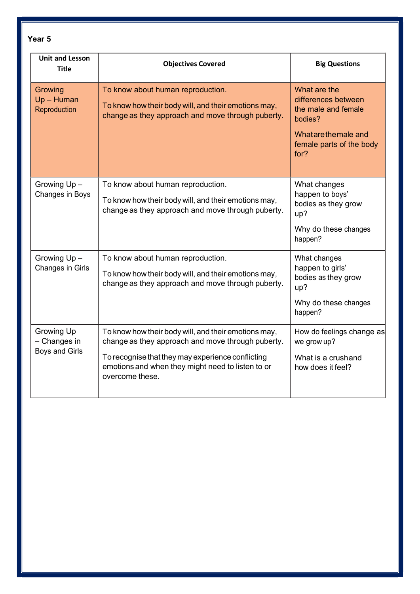| <b>Unit and Lesson</b><br><b>Title</b>              | <b>Objectives Covered</b>                                                                                                                                                                                                              | <b>Big Questions</b>                                                                                                               |
|-----------------------------------------------------|----------------------------------------------------------------------------------------------------------------------------------------------------------------------------------------------------------------------------------------|------------------------------------------------------------------------------------------------------------------------------------|
| Growing<br>$Up - Human$<br>Reproduction             | To know about human reproduction.<br>To know how their body will, and their emotions may,<br>change as they approach and move through puberty.                                                                                         | What are the<br>differences between<br>the male and female<br>bodies?<br>What are the male and<br>female parts of the body<br>for? |
| Growing Up-<br>Changes in Boys                      | To know about human reproduction.<br>To know how their body will, and their emotions may,<br>change as they approach and move through puberty.                                                                                         | What changes<br>happen to boys'<br>bodies as they grow<br>up?<br>Why do these changes<br>happen?                                   |
| Growing Up-<br>Changes in Girls                     | To know about human reproduction.<br>To know how their body will, and their emotions may,<br>change as they approach and move through puberty.                                                                                         | What changes<br>happen to girls'<br>bodies as they grow<br>up?<br>Why do these changes<br>happen?                                  |
| Growing Up<br>- Changes in<br><b>Boys and Girls</b> | To know how their body will, and their emotions may,<br>change as they approach and move through puberty.<br>To recognise that they may experience conflicting<br>emotions and when they might need to listen to or<br>overcome these. | How do feelings change as<br>we grow up?<br>What is a crushand<br>how does it feel?                                                |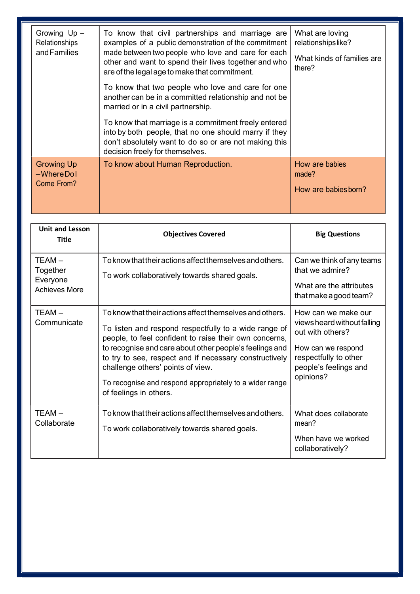| Growing Up -<br>Relationships<br>and Families   | To know that civil partnerships and marriage are<br>examples of a public demonstration of the commitment<br>made between two people who love and care for each<br>other and want to spend their lives together and who<br>are of the legal age to make that commitment.<br>To know that two people who love and care for one<br>another can be in a committed relationship and not be<br>married or in a civil partnership.<br>To know that marriage is a commitment freely entered<br>into by both people, that no one should marry if they<br>don't absolutely want to do so or are not making this<br>decision freely for themselves. | What are loving<br>relationshipslike?<br>What kinds of families are<br>there? |
|-------------------------------------------------|------------------------------------------------------------------------------------------------------------------------------------------------------------------------------------------------------------------------------------------------------------------------------------------------------------------------------------------------------------------------------------------------------------------------------------------------------------------------------------------------------------------------------------------------------------------------------------------------------------------------------------------|-------------------------------------------------------------------------------|
| <b>Growing Up</b><br>$-Where$ Dol<br>Come From? | To know about Human Reproduction.                                                                                                                                                                                                                                                                                                                                                                                                                                                                                                                                                                                                        | How are babies<br>made?<br>How are babies born?                               |

| <b>Unit and Lesson</b><br><b>Title</b>                 | <b>Objectives Covered</b>                                                                                                                                                                                                                                                                                                                                                                                                  | <b>Big Questions</b>                                                                                                                                        |
|--------------------------------------------------------|----------------------------------------------------------------------------------------------------------------------------------------------------------------------------------------------------------------------------------------------------------------------------------------------------------------------------------------------------------------------------------------------------------------------------|-------------------------------------------------------------------------------------------------------------------------------------------------------------|
| TEAM –<br>Together<br>Everyone<br><b>Achieves More</b> | To know that their actions affect themselves and others.<br>To work collaboratively towards shared goals.                                                                                                                                                                                                                                                                                                                  | Can we think of any teams<br>that we admire?<br>What are the attributes<br>that make a good team?                                                           |
| TEAM -<br>Communicate                                  | To know that their actions affect themselves and others.<br>To listen and respond respectfully to a wide range of<br>people, to feel confident to raise their own concerns,<br>to recognise and care about other people's feelings and<br>to try to see, respect and if necessary constructively<br>challenge others' points of view.<br>To recognise and respond appropriately to a wider range<br>of feelings in others. | How can we make our<br>views heard without falling<br>out with others?<br>How can we respond<br>respectfully to other<br>people's feelings and<br>opinions? |
| TEAM-<br>Collaborate                                   | To know that their actions affect themselves and others.<br>To work collaboratively towards shared goals.                                                                                                                                                                                                                                                                                                                  | What does collaborate<br>mean?<br>When have we worked<br>collaboratively?                                                                                   |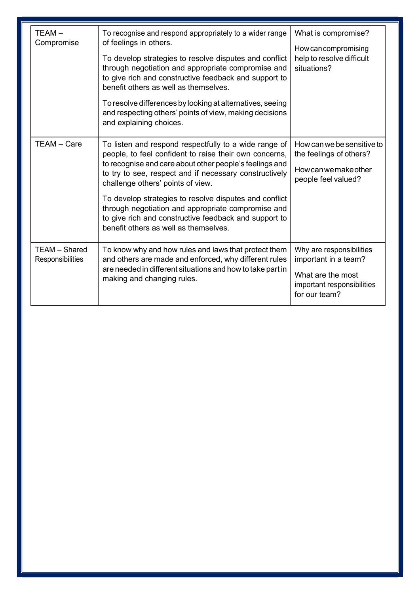| $TEAM -$<br>Compromise                   | To recognise and respond appropriately to a wider range<br>of feelings in others.<br>To develop strategies to resolve disputes and conflict<br>through negotiation and appropriate compromise and<br>to give rich and constructive feedback and support to<br>benefit others as well as themselves.<br>To resolve differences by looking at alternatives, seeing<br>and respecting others' points of view, making decisions<br>and explaining choices.                                      | What is compromise?<br>How can compromising<br>help to resolve difficult<br>situations?                              |
|------------------------------------------|---------------------------------------------------------------------------------------------------------------------------------------------------------------------------------------------------------------------------------------------------------------------------------------------------------------------------------------------------------------------------------------------------------------------------------------------------------------------------------------------|----------------------------------------------------------------------------------------------------------------------|
| TEAM - Care                              | To listen and respond respectfully to a wide range of<br>people, to feel confident to raise their own concerns,<br>to recognise and care about other people's feelings and<br>to try to see, respect and if necessary constructively<br>challenge others' points of view.<br>To develop strategies to resolve disputes and conflict<br>through negotiation and appropriate compromise and<br>to give rich and constructive feedback and support to<br>benefit others as well as themselves. | How can we be sensitive to<br>the feelings of others?<br>Howcanwemakeother<br>people feel valued?                    |
| <b>TEAM - Shared</b><br>Responsibilities | To know why and how rules and laws that protect them<br>and others are made and enforced, why different rules<br>are needed in different situations and how to take part in<br>making and changing rules.                                                                                                                                                                                                                                                                                   | Why are responsibilities<br>important in a team?<br>What are the most<br>important responsibilities<br>for our team? |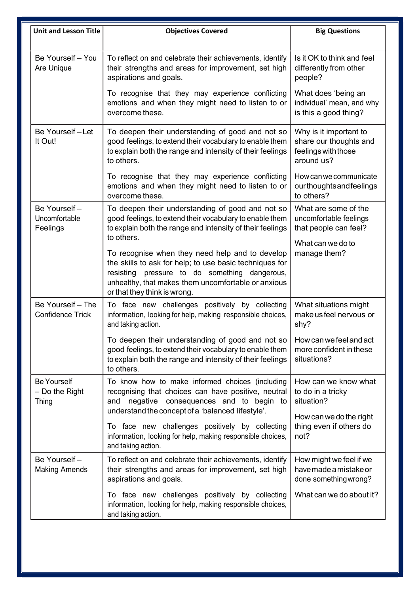| <b>Unit and Lesson Title</b>                           | <b>Objectives Covered</b>                                                                                                                                                                                                                                                                                                                                                                                     | <b>Big Questions</b>                                                                                         |
|--------------------------------------------------------|---------------------------------------------------------------------------------------------------------------------------------------------------------------------------------------------------------------------------------------------------------------------------------------------------------------------------------------------------------------------------------------------------------------|--------------------------------------------------------------------------------------------------------------|
| Be Yourself - You<br>Are Unique                        | To reflect on and celebrate their achievements, identify<br>their strengths and areas for improvement, set high<br>aspirations and goals.                                                                                                                                                                                                                                                                     | Is it OK to think and feel<br>differently from other<br>people?                                              |
|                                                        | To recognise that they may experience conflicting<br>emotions and when they might need to listen to or<br>overcome these.                                                                                                                                                                                                                                                                                     | What does 'being an<br>individual' mean, and why<br>is this a good thing?                                    |
| Be Yourself-Let<br>It Out!                             | To deepen their understanding of good and not so<br>good feelings, to extend their vocabulary to enable them<br>to explain both the range and intensity of their feelings<br>to others.                                                                                                                                                                                                                       | Why is it important to<br>share our thoughts and<br>feelings with those<br>around us?                        |
|                                                        | To recognise that they may experience conflicting<br>emotions and when they might need to listen to or<br>overcome these.                                                                                                                                                                                                                                                                                     | How can we communicate<br>ourthoughtsandfeelings<br>to others?                                               |
| Be Yourself-<br>Uncomfortable<br>Feelings              | To deepen their understanding of good and not so<br>good feelings, to extend their vocabulary to enable them<br>to explain both the range and intensity of their feelings<br>to others.<br>To recognise when they need help and to develop<br>the skills to ask for help; to use basic techniques for<br>resisting pressure to do something dangerous,<br>unhealthy, that makes them uncomfortable or anxious | What are some of the<br>uncomfortable feelings<br>that people can feel?<br>What can we do to<br>manage them? |
| Be Yourself - The<br><b>Confidence Trick</b>           | or that they think is wrong.<br>To face new challenges positively by collecting<br>information, looking for help, making responsible choices,<br>and taking action.                                                                                                                                                                                                                                           | What situations might<br>make us feel nervous or<br>shy?                                                     |
|                                                        | To deepen their understanding of good and not so<br>good feelings, to extend their vocabulary to enable them<br>to explain both the range and intensity of their feelings<br>to others.                                                                                                                                                                                                                       | How can we feel and act<br>more confident in these<br>situations?                                            |
| <b>Be Yourself</b><br>$-$ Do the Right<br><b>Thing</b> | To know how to make informed choices (including<br>recognising that choices can have positive, neutral<br>and negative consequences and to begin to<br>understand the concept of a 'balanced lifestyle'.                                                                                                                                                                                                      | How can we know what<br>to do in a tricky<br>situation?<br>How can we do the right                           |
|                                                        | To face new challenges positively by collecting<br>information, looking for help, making responsible choices,<br>and taking action.                                                                                                                                                                                                                                                                           | thing even if others do<br>not?                                                                              |
| Be Yourself-<br><b>Making Amends</b>                   | To reflect on and celebrate their achievements, identify<br>their strengths and areas for improvement, set high<br>aspirations and goals.                                                                                                                                                                                                                                                                     | How might we feel if we<br>havemade a mistake or<br>done something wrong?                                    |
|                                                        | To face new challenges positively by collecting<br>information, looking for help, making responsible choices,<br>and taking action.                                                                                                                                                                                                                                                                           | What can we do about it?                                                                                     |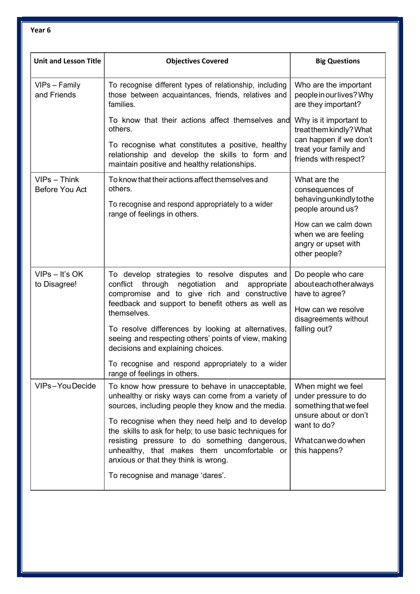| <b>Unit and Lesson Title</b>     | <b>Objectives Covered</b>                                                                                                                                                                                            | <b>Big Questions</b>                                                                                        |
|----------------------------------|----------------------------------------------------------------------------------------------------------------------------------------------------------------------------------------------------------------------|-------------------------------------------------------------------------------------------------------------|
| VIPs - Family<br>and Friends     | To recognise different types of relationship, including<br>those between acquaintances, friends, relatives and<br>families.                                                                                          | Who are the important<br>people in our lives? Why<br>are they important?                                    |
|                                  | To know that their actions affect themselves and<br>others.                                                                                                                                                          | Why is it important to<br>treat them kindly? What                                                           |
|                                  | To recognise what constitutes a positive, healthy<br>relationship and develop the skills to form and<br>maintain positive and healthy relationships.                                                                 | can happen if we don't<br>treat your family and<br>friends with respect?                                    |
| $VIPS - Think$<br>Before You Act | To know that their actions affect themselves and<br>others.<br>To recognise and respond appropriately to a wider                                                                                                     | What are the<br>consequences of<br>behaving unkindly to the                                                 |
|                                  | range of feelings in others.                                                                                                                                                                                         | people around us?<br>How can we calm down<br>when we are feeling<br>angry or upset with<br>other people?    |
| $VIPS - It'S OK$<br>to Disagree! | To develop strategies to resolve disputes and<br>conflict through negotiation and<br>appropriate<br>compromise and to give rich and constructive<br>feedback and support to benefit others as well as<br>themselves. | Do people who care<br>abouteachotheralways<br>have to agree?<br>How can we resolve<br>disagreements without |
|                                  | To resolve differences by looking at alternatives,<br>seeing and respecting others' points of view, making<br>decisions and explaining choices.                                                                      | falling out?                                                                                                |
|                                  | To recognise and respond appropriately to a wider<br>range of feelings in others.                                                                                                                                    |                                                                                                             |
| VIPs-YouDecide                   | To know how pressure to behave in unacceptable,<br>unhealthy or risky ways can come from a variety of<br>sources, including people they know and the media.                                                          | When might we feel<br>under pressure to do<br>something that we feel                                        |
|                                  | To recognise when they need help and to develop<br>the skills to ask for help; to use basic techniques for<br>resisting pressure to do something dangerous,<br>unhealthy, that makes them uncomfortable or           | unsure about or don't<br>want to do?<br>What can we do when<br>this happens?                                |
|                                  | anxious or that they think is wrong.<br>To recognise and manage 'dares'.                                                                                                                                             |                                                                                                             |
|                                  |                                                                                                                                                                                                                      |                                                                                                             |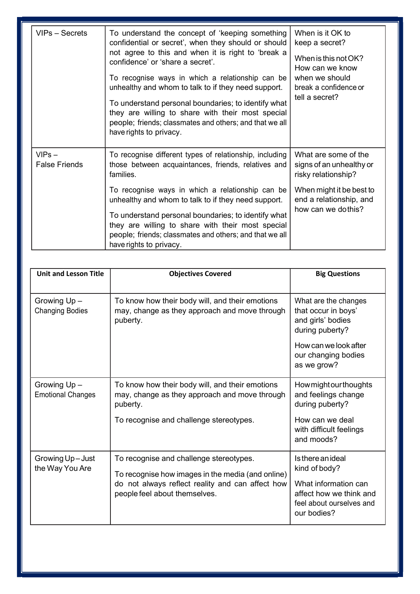| VIPs - Secrets                   | To understand the concept of 'keeping something<br>confidential or secret', when they should or should<br>not agree to this and when it is right to 'break a<br>confidence' or 'share a secret'.<br>To recognise ways in which a relationship can be<br>unhealthy and whom to talk to if they need support.<br>To understand personal boundaries; to identify what<br>they are willing to share with their most special<br>people; friends; classmates and others; and that we all<br>have rights to privacy. | When is it OK to<br>keep a secret?<br>When is this not OK?<br>How can we know<br>when we should<br>break a confidence or<br>tell a secret?           |
|----------------------------------|---------------------------------------------------------------------------------------------------------------------------------------------------------------------------------------------------------------------------------------------------------------------------------------------------------------------------------------------------------------------------------------------------------------------------------------------------------------------------------------------------------------|------------------------------------------------------------------------------------------------------------------------------------------------------|
| $VIPS -$<br><b>False Friends</b> | To recognise different types of relationship, including<br>those between acquaintances, friends, relatives and<br>families.<br>To recognise ways in which a relationship can be<br>unhealthy and whom to talk to if they need support.<br>To understand personal boundaries; to identify what<br>they are willing to share with their most special<br>people; friends; classmates and others; and that we all<br>have rights to privacy.                                                                      | What are some of the<br>signs of an unhealthy or<br>risky relationship?<br>When might it be best to<br>end a relationship, and<br>how can we dothis? |

| <b>Unit and Lesson Title</b>            | <b>Objectives Covered</b>                                                                                                                                                         | <b>Big Questions</b>                                                                                                                               |
|-----------------------------------------|-----------------------------------------------------------------------------------------------------------------------------------------------------------------------------------|----------------------------------------------------------------------------------------------------------------------------------------------------|
| Growing Up-<br><b>Changing Bodies</b>   | To know how their body will, and their emotions<br>may, change as they approach and move through<br>puberty.                                                                      | What are the changes<br>that occur in boys'<br>and girls' bodies<br>during puberty?<br>How can we look after<br>our changing bodies<br>as we grow? |
| Growing Up-<br><b>Emotional Changes</b> | To know how their body will, and their emotions<br>may, change as they approach and move through<br>puberty.<br>To recognise and challenge stereotypes.                           | Howmightourthoughts<br>and feelings change<br>during puberty?<br>How can we deal<br>with difficult feelings<br>and moods?                          |
| Growing Up-Just<br>the Way You Are      | To recognise and challenge stereotypes.<br>To recognise how images in the media (and online)<br>do not always reflect reality and can affect how<br>people feel about themselves. | Is there an ideal<br>kind of body?<br>What information can<br>affect how we think and<br>feel about ourselves and<br>our bodies?                   |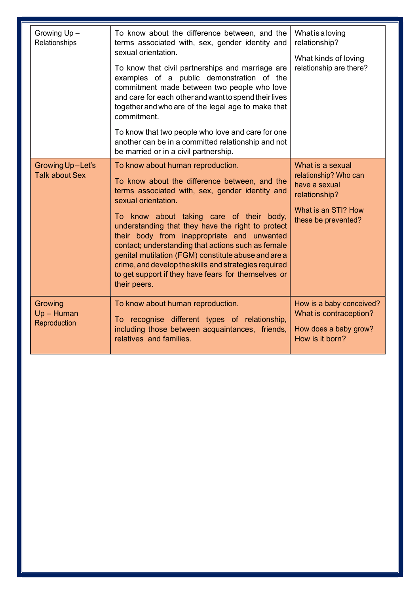| Growing Up-<br>Relationships              | To know about the difference between, and the<br>terms associated with, sex, gender identity and<br>sexual orientation.<br>To know that civil partnerships and marriage are<br>examples of a public demonstration of the<br>commitment made between two people who love<br>and care for each other and want to spend their lives<br>together and who are of the legal age to make that<br>commitment.<br>To know that two people who love and care for one<br>another can be in a committed relationship and not<br>be married or in a civil partnership. | What is a loving<br>relationship?<br>What kinds of loving<br>relationship are there?                                      |
|-------------------------------------------|-----------------------------------------------------------------------------------------------------------------------------------------------------------------------------------------------------------------------------------------------------------------------------------------------------------------------------------------------------------------------------------------------------------------------------------------------------------------------------------------------------------------------------------------------------------|---------------------------------------------------------------------------------------------------------------------------|
| Growing Up-Let's<br><b>Talk about Sex</b> | To know about human reproduction.<br>To know about the difference between, and the<br>terms associated with, sex, gender identity and<br>sexual orientation.<br>To know about taking care of their body,<br>understanding that they have the right to protect<br>their body from inappropriate and unwanted<br>contact; understanding that actions such as female<br>genital mutilation (FGM) constitute abuse and are a<br>crime, and develop the skills and strategies required<br>to get support if they have fears for themselves or<br>their peers.  | What is a sexual<br>relationship? Who can<br>have a sexual<br>relationship?<br>What is an STI? How<br>these be prevented? |
| Growing<br>$Up - Human$<br>Reproduction   | To know about human reproduction.<br>To recognise different types of relationship,<br>including those between acquaintances, friends,<br>relatives and families.                                                                                                                                                                                                                                                                                                                                                                                          | How is a baby conceived?<br>What is contraception?<br>How does a baby grow?<br>How is it born?                            |